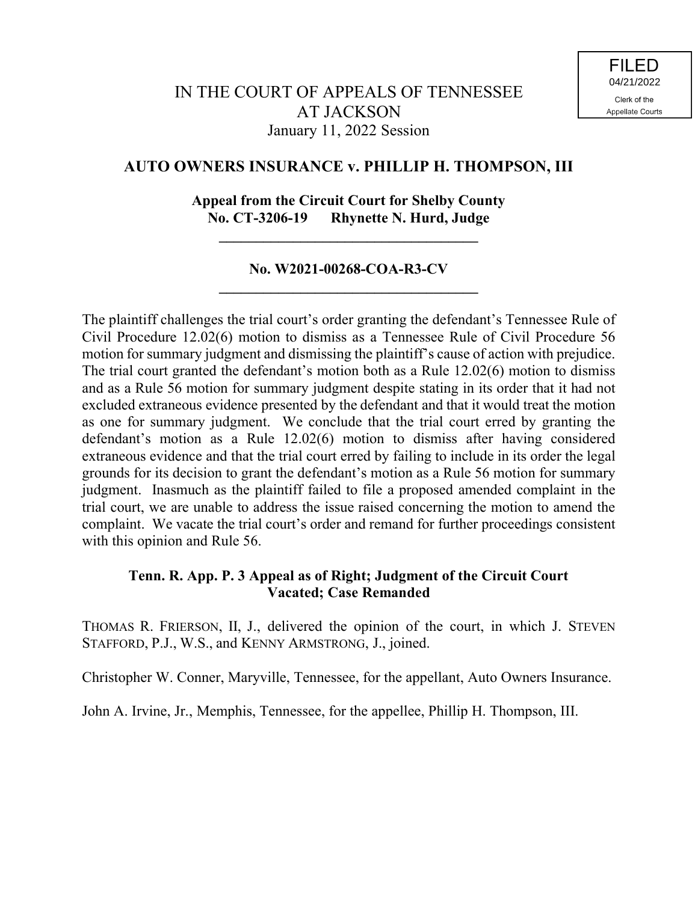# **AUTO OWNERS INSURANCE v. PHILLIP H. THOMPSON, III**

# **Appeal from the Circuit Court for Shelby County No. CT-3206-19 Rhynette N. Hurd, Judge**

**\_\_\_\_\_\_\_\_\_\_\_\_\_\_\_\_\_\_\_\_\_\_\_\_\_\_\_\_\_\_\_\_\_\_\_**

## **No. W2021-00268-COA-R3-CV \_\_\_\_\_\_\_\_\_\_\_\_\_\_\_\_\_\_\_\_\_\_\_\_\_\_\_\_\_\_\_\_\_\_\_**

The plaintiff challenges the trial court's order granting the defendant's Tennessee Rule of Civil Procedure 12.02(6) motion to dismiss as a Tennessee Rule of Civil Procedure 56 motion for summary judgment and dismissing the plaintiff's cause of action with prejudice. The trial court granted the defendant's motion both as a Rule 12.02(6) motion to dismiss and as a Rule 56 motion for summary judgment despite stating in its order that it had not excluded extraneous evidence presented by the defendant and that it would treat the motion as one for summary judgment. We conclude that the trial court erred by granting the defendant's motion as a Rule 12.02(6) motion to dismiss after having considered extraneous evidence and that the trial court erred by failing to include in its order the legal grounds for its decision to grant the defendant's motion as a Rule 56 motion for summary judgment. Inasmuch as the plaintiff failed to file a proposed amended complaint in the trial court, we are unable to address the issue raised concerning the motion to amend the complaint. We vacate the trial court's order and remand for further proceedings consistent with this opinion and Rule 56.

## **Tenn. R. App. P. 3 Appeal as of Right; Judgment of the Circuit Court Vacated; Case Remanded**

THOMAS R. FRIERSON, II, J., delivered the opinion of the court, in which J. STEVEN STAFFORD, P.J., W.S., and KENNY ARMSTRONG, J., joined.

Christopher W. Conner, Maryville, Tennessee, for the appellant, Auto Owners Insurance.

John A. Irvine, Jr., Memphis, Tennessee, for the appellee, Phillip H. Thompson, III.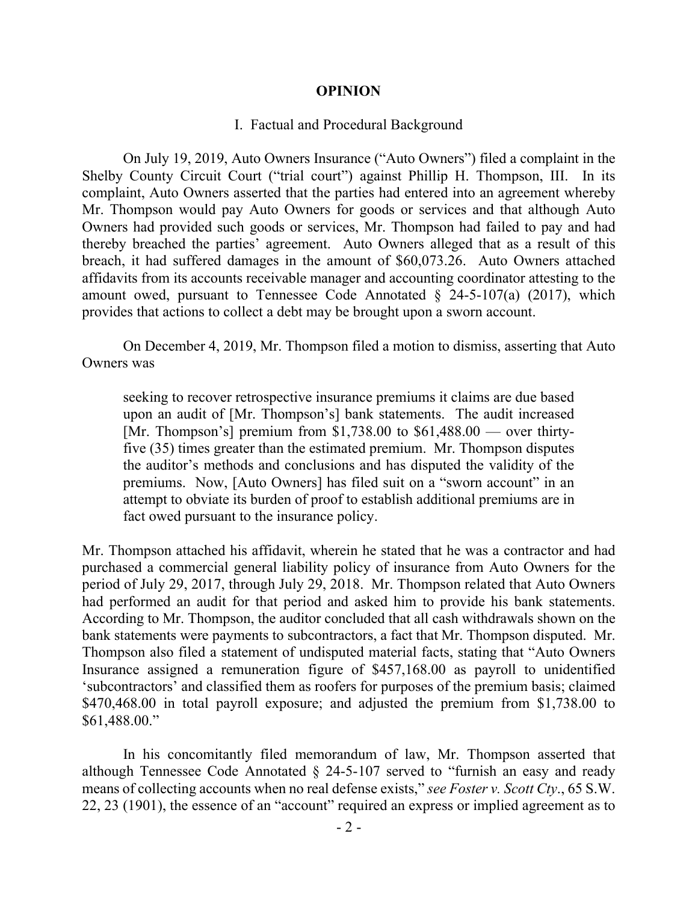#### **OPINION**

#### I. Factual and Procedural Background

On July 19, 2019, Auto Owners Insurance ("Auto Owners") filed a complaint in the Shelby County Circuit Court ("trial court") against Phillip H. Thompson, III. In its complaint, Auto Owners asserted that the parties had entered into an agreement whereby Mr. Thompson would pay Auto Owners for goods or services and that although Auto Owners had provided such goods or services, Mr. Thompson had failed to pay and had thereby breached the parties' agreement. Auto Owners alleged that as a result of this breach, it had suffered damages in the amount of \$60,073.26. Auto Owners attached affidavits from its accounts receivable manager and accounting coordinator attesting to the amount owed, pursuant to Tennessee Code Annotated  $\S$  24-5-107(a) (2017), which provides that actions to collect a debt may be brought upon a sworn account.

On December 4, 2019, Mr. Thompson filed a motion to dismiss, asserting that Auto Owners was

seeking to recover retrospective insurance premiums it claims are due based upon an audit of [Mr. Thompson's] bank statements. The audit increased [Mr. Thompson's] premium from  $$1,738.00$  to  $$61,488.00$  — over thirtyfive (35) times greater than the estimated premium. Mr. Thompson disputes the auditor's methods and conclusions and has disputed the validity of the premiums. Now, [Auto Owners] has filed suit on a "sworn account" in an attempt to obviate its burden of proof to establish additional premiums are in fact owed pursuant to the insurance policy.

Mr. Thompson attached his affidavit, wherein he stated that he was a contractor and had purchased a commercial general liability policy of insurance from Auto Owners for the period of July 29, 2017, through July 29, 2018. Mr. Thompson related that Auto Owners had performed an audit for that period and asked him to provide his bank statements. According to Mr. Thompson, the auditor concluded that all cash withdrawals shown on the bank statements were payments to subcontractors, a fact that Mr. Thompson disputed. Mr. Thompson also filed a statement of undisputed material facts, stating that "Auto Owners Insurance assigned a remuneration figure of \$457,168.00 as payroll to unidentified 'subcontractors' and classified them as roofers for purposes of the premium basis; claimed \$470,468.00 in total payroll exposure; and adjusted the premium from \$1,738.00 to \$61,488.00."

In his concomitantly filed memorandum of law, Mr. Thompson asserted that although Tennessee Code Annotated  $\S$  24-5-107 served to "furnish an easy and ready means of collecting accounts when no real defense exists," *see Foster v. Scott Cty*., 65 S.W. 22, 23 (1901), the essence of an "account" required an express or implied agreement as to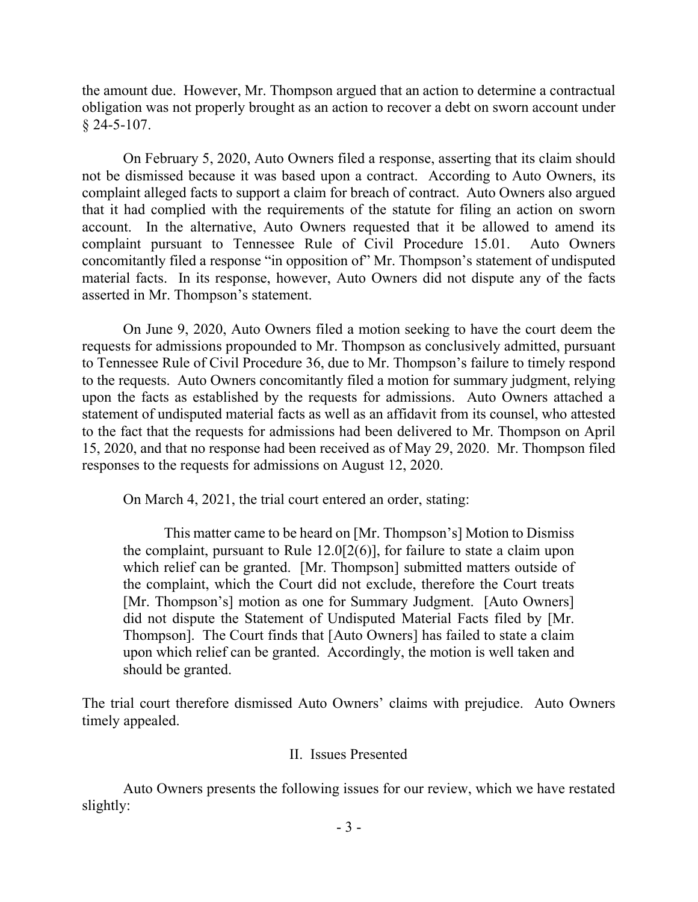the amount due. However, Mr. Thompson argued that an action to determine a contractual obligation was not properly brought as an action to recover a debt on sworn account under  $§$  24-5-107.

On February 5, 2020, Auto Owners filed a response, asserting that its claim should not be dismissed because it was based upon a contract. According to Auto Owners, its complaint alleged facts to support a claim for breach of contract. Auto Owners also argued that it had complied with the requirements of the statute for filing an action on sworn account. In the alternative, Auto Owners requested that it be allowed to amend its complaint pursuant to Tennessee Rule of Civil Procedure 15.01. Auto Owners concomitantly filed a response "in opposition of" Mr. Thompson's statement of undisputed material facts. In its response, however, Auto Owners did not dispute any of the facts asserted in Mr. Thompson's statement.

On June 9, 2020, Auto Owners filed a motion seeking to have the court deem the requests for admissions propounded to Mr. Thompson as conclusively admitted, pursuant to Tennessee Rule of Civil Procedure 36, due to Mr. Thompson's failure to timely respond to the requests. Auto Owners concomitantly filed a motion for summary judgment, relying upon the facts as established by the requests for admissions. Auto Owners attached a statement of undisputed material facts as well as an affidavit from its counsel, who attested to the fact that the requests for admissions had been delivered to Mr. Thompson on April 15, 2020, and that no response had been received as of May 29, 2020. Mr. Thompson filed responses to the requests for admissions on August 12, 2020.

On March 4, 2021, the trial court entered an order, stating:

This matter came to be heard on [Mr. Thompson's] Motion to Dismiss the complaint, pursuant to Rule 12.0[2(6)], for failure to state a claim upon which relief can be granted. [Mr. Thompson] submitted matters outside of the complaint, which the Court did not exclude, therefore the Court treats [Mr. Thompson's] motion as one for Summary Judgment. [Auto Owners] did not dispute the Statement of Undisputed Material Facts filed by [Mr. Thompson]. The Court finds that [Auto Owners] has failed to state a claim upon which relief can be granted. Accordingly, the motion is well taken and should be granted.

The trial court therefore dismissed Auto Owners' claims with prejudice. Auto Owners timely appealed.

# II. Issues Presented

Auto Owners presents the following issues for our review, which we have restated slightly: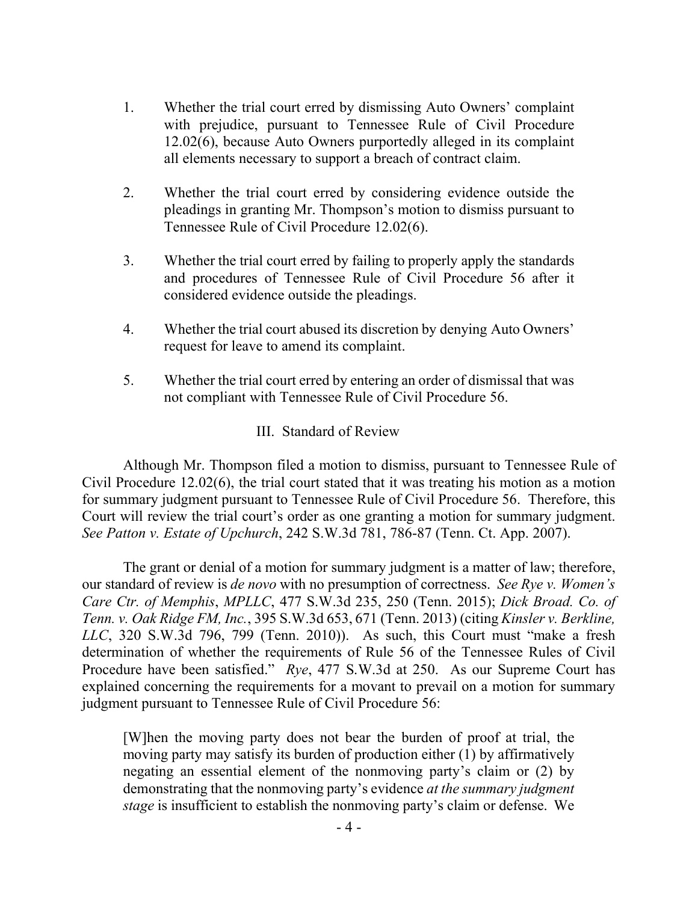- 1. Whether the trial court erred by dismissing Auto Owners' complaint with prejudice, pursuant to Tennessee Rule of Civil Procedure 12.02(6), because Auto Owners purportedly alleged in its complaint all elements necessary to support a breach of contract claim.
- 2. Whether the trial court erred by considering evidence outside the pleadings in granting Mr. Thompson's motion to dismiss pursuant to Tennessee Rule of Civil Procedure 12.02(6).
- 3. Whether the trial court erred by failing to properly apply the standards and procedures of Tennessee Rule of Civil Procedure 56 after it considered evidence outside the pleadings.
- 4. Whether the trial court abused its discretion by denying Auto Owners' request for leave to amend its complaint.
- 5. Whether the trial court erred by entering an order of dismissal that was not compliant with Tennessee Rule of Civil Procedure 56.

# III. Standard of Review

Although Mr. Thompson filed a motion to dismiss, pursuant to Tennessee Rule of Civil Procedure 12.02(6), the trial court stated that it was treating his motion as a motion for summary judgment pursuant to Tennessee Rule of Civil Procedure 56. Therefore, this Court will review the trial court's order as one granting a motion for summary judgment. *See Patton v. Estate of Upchurch*, 242 S.W.3d 781, 786-87 (Tenn. Ct. App. 2007).

The grant or denial of a motion for summary judgment is a matter of law; therefore, our standard of review is *de novo* with no presumption of correctness. *See Rye v. Women's Care Ctr. of Memphis*, *MPLLC*, 477 S.W.3d 235, 250 (Tenn. 2015); *Dick Broad. Co. of Tenn. v. Oak Ridge FM, Inc.*, 395 S.W.3d 653, 671 (Tenn. 2013) (citing *Kinsler v. Berkline, LLC*, 320 S.W.3d 796, 799 (Tenn. 2010)). As such, this Court must "make a fresh determination of whether the requirements of Rule 56 of the Tennessee Rules of Civil Procedure have been satisfied." *Rye*, 477 S.W.3d at 250. As our Supreme Court has explained concerning the requirements for a movant to prevail on a motion for summary judgment pursuant to Tennessee Rule of Civil Procedure 56:

[W]hen the moving party does not bear the burden of proof at trial, the moving party may satisfy its burden of production either (1) by affirmatively negating an essential element of the nonmoving party's claim or (2) by demonstrating that the nonmoving party's evidence *at the summary judgment stage* is insufficient to establish the nonmoving party's claim or defense. We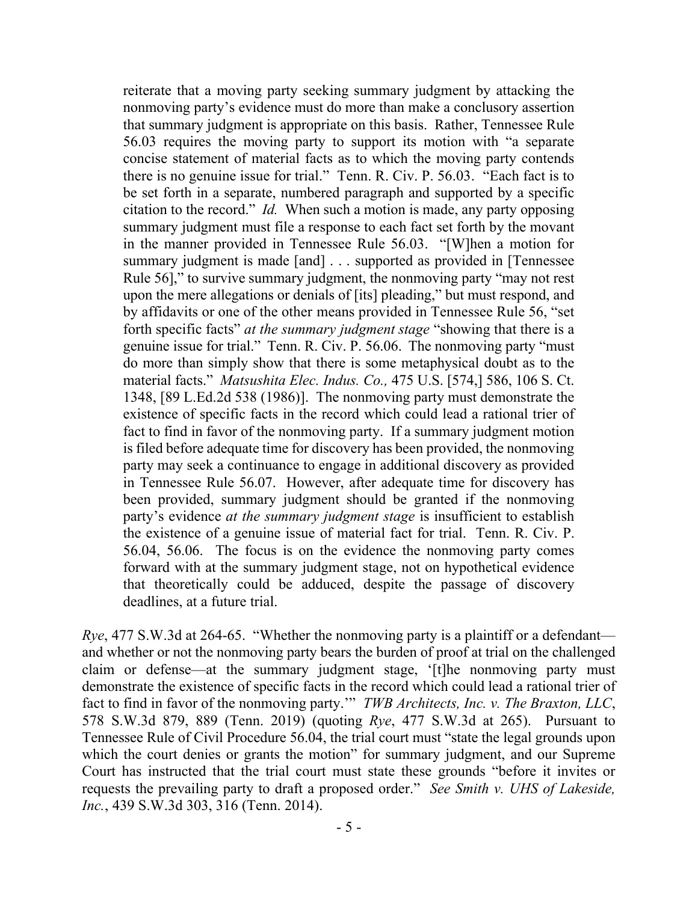reiterate that a moving party seeking summary judgment by attacking the nonmoving party's evidence must do more than make a conclusory assertion that summary judgment is appropriate on this basis. Rather, Tennessee Rule 56.03 requires the moving party to support its motion with "a separate concise statement of material facts as to which the moving party contends there is no genuine issue for trial." Tenn. R. Civ. P. 56.03. "Each fact is to be set forth in a separate, numbered paragraph and supported by a specific citation to the record." *Id.* When such a motion is made, any party opposing summary judgment must file a response to each fact set forth by the movant in the manner provided in Tennessee Rule 56.03. "[W]hen a motion for summary judgment is made [and] . . . supported as provided in [Tennessee Rule 56]," to survive summary judgment, the nonmoving party "may not rest upon the mere allegations or denials of [its] pleading," but must respond, and by affidavits or one of the other means provided in Tennessee Rule 56, "set forth specific facts" *at the summary judgment stage* "showing that there is a genuine issue for trial." Tenn. R. Civ. P. 56.06. The nonmoving party "must do more than simply show that there is some metaphysical doubt as to the material facts." *Matsushita Elec. Indus. Co.,* 475 U.S. [574,] 586, 106 S. Ct. 1348, [89 L.Ed.2d 538 (1986)]. The nonmoving party must demonstrate the existence of specific facts in the record which could lead a rational trier of fact to find in favor of the nonmoving party. If a summary judgment motion is filed before adequate time for discovery has been provided, the nonmoving party may seek a continuance to engage in additional discovery as provided in Tennessee Rule 56.07. However, after adequate time for discovery has been provided, summary judgment should be granted if the nonmoving party's evidence *at the summary judgment stage* is insufficient to establish the existence of a genuine issue of material fact for trial. Tenn. R. Civ. P. 56.04, 56.06. The focus is on the evidence the nonmoving party comes forward with at the summary judgment stage, not on hypothetical evidence that theoretically could be adduced, despite the passage of discovery deadlines, at a future trial.

*Rye*, 477 S.W.3d at 264-65. "Whether the nonmoving party is a plaintiff or a defendant and whether or not the nonmoving party bears the burden of proof at trial on the challenged claim or defense—at the summary judgment stage, '[t]he nonmoving party must demonstrate the existence of specific facts in the record which could lead a rational trier of fact to find in favor of the nonmoving party.'" *TWB Architects, Inc. v. The Braxton, LLC*, 578 S.W.3d 879, 889 (Tenn. 2019) (quoting *Rye*, 477 S.W.3d at 265). Pursuant to Tennessee Rule of Civil Procedure 56.04, the trial court must "state the legal grounds upon which the court denies or grants the motion" for summary judgment, and our Supreme Court has instructed that the trial court must state these grounds "before it invites or requests the prevailing party to draft a proposed order." *See Smith v. UHS of Lakeside, Inc.*, 439 S.W.3d 303, 316 (Tenn. 2014).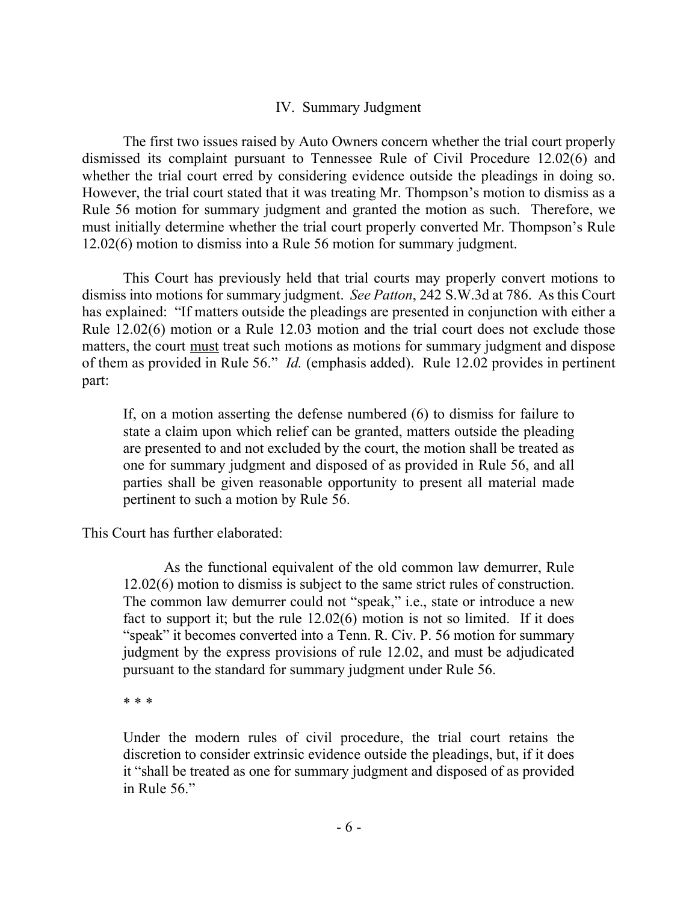### IV. Summary Judgment

The first two issues raised by Auto Owners concern whether the trial court properly dismissed its complaint pursuant to Tennessee Rule of Civil Procedure 12.02(6) and whether the trial court erred by considering evidence outside the pleadings in doing so. However, the trial court stated that it was treating Mr. Thompson's motion to dismiss as a Rule 56 motion for summary judgment and granted the motion as such. Therefore, we must initially determine whether the trial court properly converted Mr. Thompson's Rule 12.02(6) motion to dismiss into a Rule 56 motion for summary judgment.

This Court has previously held that trial courts may properly convert motions to dismiss into motions for summary judgment. *See Patton*, 242 S.W.3d at 786. As this Court has explained: "If matters outside the pleadings are presented in conjunction with either a Rule 12.02(6) motion or a Rule 12.03 motion and the trial court does not exclude those matters, the court must treat such motions as motions for summary judgment and dispose of them as provided in Rule 56." *Id.* (emphasis added).Rule 12.02 provides in pertinent part:

If, on a motion asserting the defense numbered (6) to dismiss for failure to state a claim upon which relief can be granted, matters outside the pleading are presented to and not excluded by the court, the motion shall be treated as one for summary judgment and disposed of as provided in Rule 56, and all parties shall be given reasonable opportunity to present all material made pertinent to such a motion by Rule 56.

This Court has further elaborated:

As the functional equivalent of the old common law demurrer, Rule 12.02(6) motion to dismiss is subject to the same strict rules of construction. The common law demurrer could not "speak," i.e., state or introduce a new fact to support it; but the rule 12.02(6) motion is not so limited. If it does "speak" it becomes converted into a Tenn. R. Civ. P. 56 motion for summary judgment by the express provisions of rule 12.02, and must be adjudicated pursuant to the standard for summary judgment under Rule 56.

\* \* \*

Under the modern rules of civil procedure, the trial court retains the discretion to consider extrinsic evidence outside the pleadings, but, if it does it "shall be treated as one for summary judgment and disposed of as provided in Rule 56."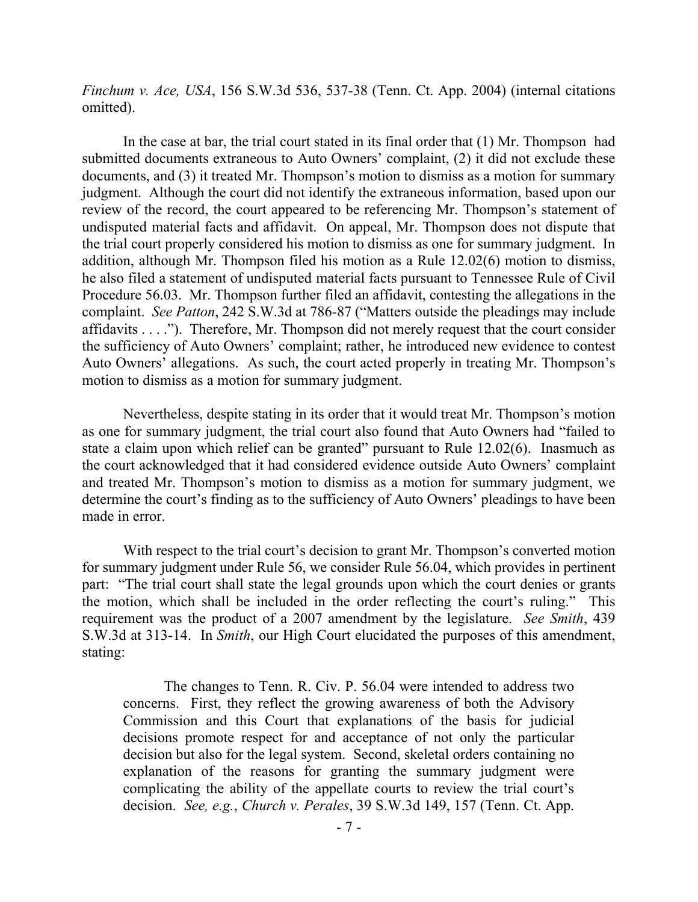*Finchum v. Ace, USA*, 156 S.W.3d 536, 537-38 (Tenn. Ct. App. 2004) (internal citations omitted).

In the case at bar, the trial court stated in its final order that (1) Mr. Thompson had submitted documents extraneous to Auto Owners' complaint, (2) it did not exclude these documents, and (3) it treated Mr. Thompson's motion to dismiss as a motion for summary judgment. Although the court did not identify the extraneous information, based upon our review of the record, the court appeared to be referencing Mr. Thompson's statement of undisputed material facts and affidavit. On appeal, Mr. Thompson does not dispute that the trial court properly considered his motion to dismiss as one for summary judgment. In addition, although Mr. Thompson filed his motion as a Rule 12.02(6) motion to dismiss, he also filed a statement of undisputed material facts pursuant to Tennessee Rule of Civil Procedure 56.03. Mr. Thompson further filed an affidavit, contesting the allegations in the complaint. *See Patton*, 242 S.W.3d at 786-87 ("Matters outside the pleadings may include affidavits . . . ."). Therefore, Mr. Thompson did not merely request that the court consider the sufficiency of Auto Owners' complaint; rather, he introduced new evidence to contest Auto Owners' allegations. As such, the court acted properly in treating Mr. Thompson's motion to dismiss as a motion for summary judgment.

Nevertheless, despite stating in its order that it would treat Mr. Thompson's motion as one for summary judgment, the trial court also found that Auto Owners had "failed to state a claim upon which relief can be granted" pursuant to Rule 12.02(6). Inasmuch as the court acknowledged that it had considered evidence outside Auto Owners' complaint and treated Mr. Thompson's motion to dismiss as a motion for summary judgment, we determine the court's finding as to the sufficiency of Auto Owners' pleadings to have been made in error.

With respect to the trial court's decision to grant Mr. Thompson's converted motion for summary judgment under Rule 56, we consider Rule 56.04, which provides in pertinent part: "The trial court shall state the legal grounds upon which the court denies or grants the motion, which shall be included in the order reflecting the court's ruling." This requirement was the product of a 2007 amendment by the legislature. *See Smith*, 439 S.W.3d at 313-14. In *Smith*, our High Court elucidated the purposes of this amendment, stating:

The changes to Tenn. R. Civ. P. 56.04 were intended to address two concerns. First, they reflect the growing awareness of both the Advisory Commission and this Court that explanations of the basis for judicial decisions promote respect for and acceptance of not only the particular decision but also for the legal system. Second, skeletal orders containing no explanation of the reasons for granting the summary judgment were complicating the ability of the appellate courts to review the trial court's decision. *See, e.g.*, *Church v. Perales*, 39 S.W.3d 149, 157 (Tenn. Ct. App.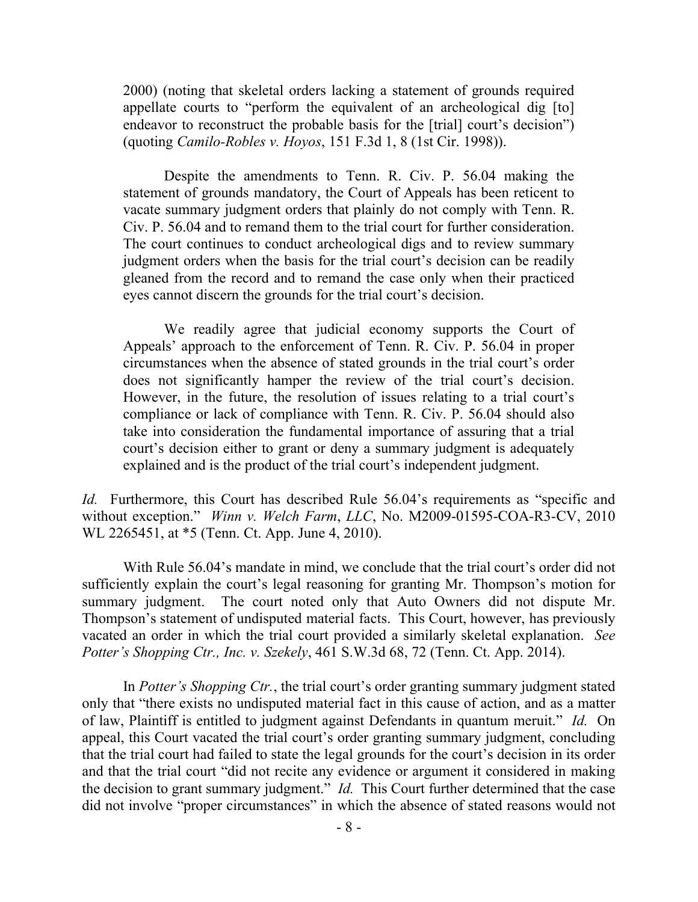2000) (noting that skeletal orders lacking a statement of grounds required appellate courts to "perform the equivalent of an archeological dig [to] endeavor to reconstruct the probable basis for the [trial] court's decision") (quoting *Camilo-Robles v. Hoyos*, 151 F.3d 1, 8 (1st Cir. 1998)).

Despite the amendments to Tenn. R. Civ. P. 56.04 making the statement of grounds mandatory, the Court of Appeals has been reticent to vacate summary judgment orders that plainly do not comply with Tenn. R. Civ. P. 56.04 and to remand them to the trial court for further consideration. The court continues to conduct archeological digs and to review summary judgment orders when the basis for the trial court's decision can be readily gleaned from the record and to remand the case only when their practiced eyes cannot discern the grounds for the trial court's decision.

We readily agree that judicial economy supports the Court of Appeals' approach to the enforcement of Tenn. R. Civ. P. 56.04 in proper circumstances when the absence of stated grounds in the trial court's order does not significantly hamper the review of the trial court's decision. However, in the future, the resolution of issues relating to a trial court's compliance or lack of compliance with Tenn. R. Civ. P. 56.04 should also take into consideration the fundamental importance of assuring that a trial court's decision either to grant or deny a summary judgment is adequately explained and is the product of the trial court's independent judgment.

*Id.* Furthermore, this Court has described Rule 56.04's requirements as "specific and without exception." *Winn v. Welch Farm*, *LLC*, No. M2009-01595-COA-R3-CV, 2010 WL 2265451, at \*5 (Tenn. Ct. App. June 4, 2010).

With Rule 56.04's mandate in mind, we conclude that the trial court's order did not sufficiently explain the court's legal reasoning for granting Mr. Thompson's motion for summary judgment. The court noted only that Auto Owners did not dispute Mr. Thompson's statement of undisputed material facts. This Court, however, has previously vacated an order in which the trial court provided a similarly skeletal explanation. *See Potter's Shopping Ctr., Inc. v. Szekely*, 461 S.W.3d 68, 72 (Tenn. Ct. App. 2014).

In *Potter's Shopping Ctr.*, the trial court's order granting summary judgment stated only that "there exists no undisputed material fact in this cause of action, and as a matter of law, Plaintiff is entitled to judgment against Defendants in quantum meruit." *Id.* On appeal, this Court vacated the trial court's order granting summary judgment, concluding that the trial court had failed to state the legal grounds for the court's decision in its order and that the trial court "did not recite any evidence or argument it considered in making the decision to grant summary judgment." *Id.* This Court further determined that the case did not involve "proper circumstances" in which the absence of stated reasons would not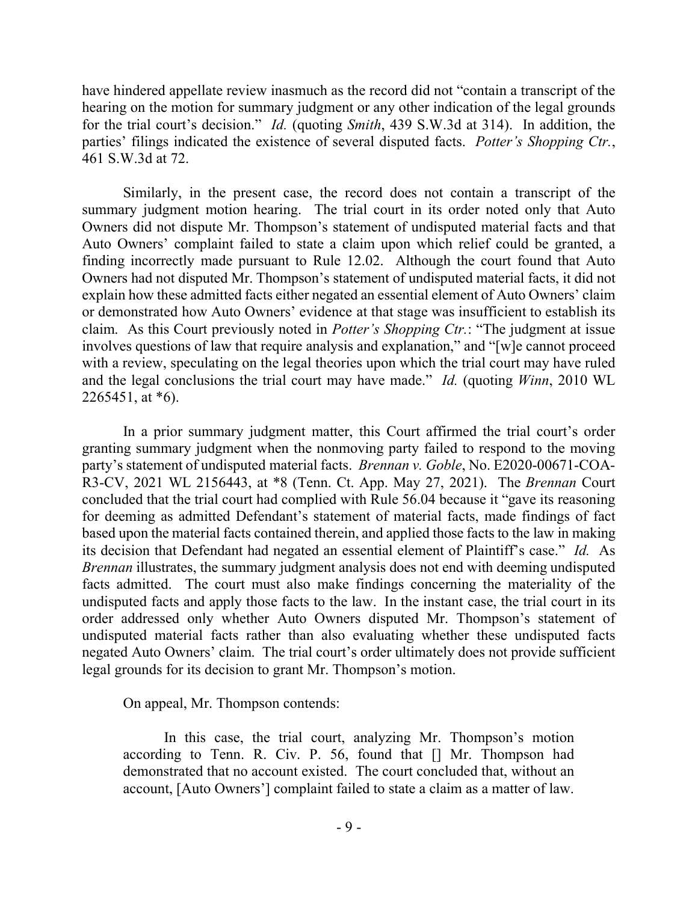have hindered appellate review inasmuch as the record did not "contain a transcript of the hearing on the motion for summary judgment or any other indication of the legal grounds for the trial court's decision." *Id.* (quoting *Smith*, 439 S.W.3d at 314). In addition, the parties' filings indicated the existence of several disputed facts. *Potter's Shopping Ctr.*, 461 S.W.3d at 72.

Similarly, in the present case, the record does not contain a transcript of the summary judgment motion hearing. The trial court in its order noted only that Auto Owners did not dispute Mr. Thompson's statement of undisputed material facts and that Auto Owners' complaint failed to state a claim upon which relief could be granted, a finding incorrectly made pursuant to Rule 12.02. Although the court found that Auto Owners had not disputed Mr. Thompson's statement of undisputed material facts, it did not explain how these admitted facts either negated an essential element of Auto Owners' claim or demonstrated how Auto Owners' evidence at that stage was insufficient to establish its claim. As this Court previously noted in *Potter's Shopping Ctr.*: "The judgment at issue involves questions of law that require analysis and explanation," and "[w]e cannot proceed with a review, speculating on the legal theories upon which the trial court may have ruled and the legal conclusions the trial court may have made." *Id.* (quoting *Winn*, 2010 WL 2265451, at \*6).

In a prior summary judgment matter, this Court affirmed the trial court's order granting summary judgment when the nonmoving party failed to respond to the moving party's statement of undisputed material facts. *Brennan v. Goble*, No. E2020-00671-COA-R3-CV, 2021 WL 2156443, at \*8 (Tenn. Ct. App. May 27, 2021). The *Brennan* Court concluded that the trial court had complied with Rule 56.04 because it "gave its reasoning for deeming as admitted Defendant's statement of material facts, made findings of fact based upon the material facts contained therein, and applied those facts to the law in making its decision that Defendant had negated an essential element of Plaintiff's case." *Id.* As *Brennan* illustrates, the summary judgment analysis does not end with deeming undisputed facts admitted. The court must also make findings concerning the materiality of the undisputed facts and apply those facts to the law. In the instant case, the trial court in its order addressed only whether Auto Owners disputed Mr. Thompson's statement of undisputed material facts rather than also evaluating whether these undisputed facts negated Auto Owners' claim. The trial court's order ultimately does not provide sufficient legal grounds for its decision to grant Mr. Thompson's motion.

On appeal, Mr. Thompson contends:

In this case, the trial court, analyzing Mr. Thompson's motion according to Tenn. R. Civ. P. 56, found that [] Mr. Thompson had demonstrated that no account existed. The court concluded that, without an account, [Auto Owners'] complaint failed to state a claim as a matter of law.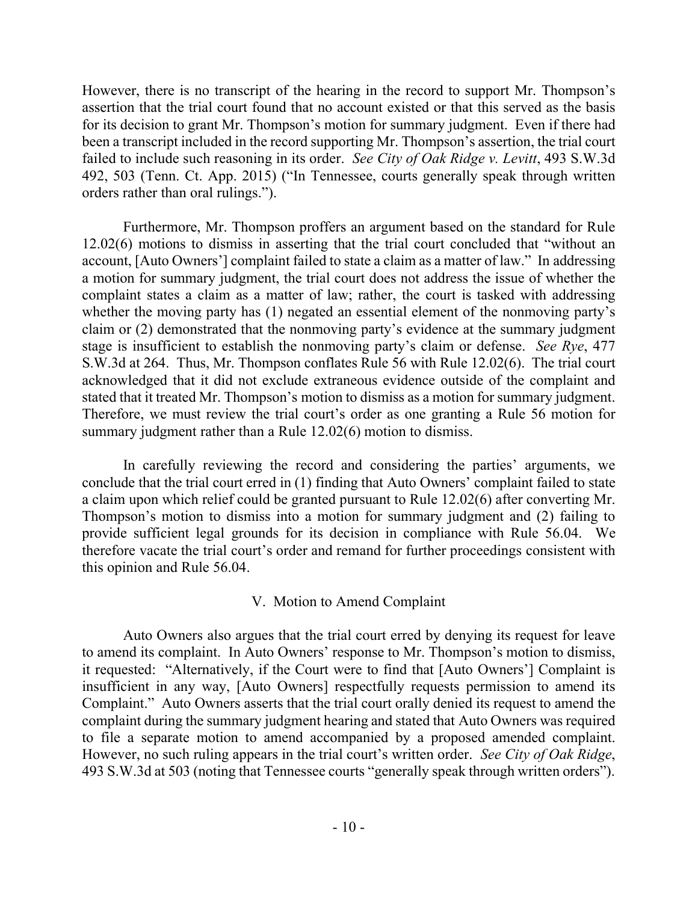However, there is no transcript of the hearing in the record to support Mr. Thompson's assertion that the trial court found that no account existed or that this served as the basis for its decision to grant Mr. Thompson's motion for summary judgment. Even if there had been a transcript included in the record supporting Mr. Thompson's assertion, the trial court failed to include such reasoning in its order. *See City of Oak Ridge v. Levitt*, 493 S.W.3d 492, 503 (Tenn. Ct. App. 2015) ("In Tennessee, courts generally speak through written orders rather than oral rulings.").

Furthermore, Mr. Thompson proffers an argument based on the standard for Rule 12.02(6) motions to dismiss in asserting that the trial court concluded that "without an account, [Auto Owners'] complaint failed to state a claim as a matter of law." In addressing a motion for summary judgment, the trial court does not address the issue of whether the complaint states a claim as a matter of law; rather, the court is tasked with addressing whether the moving party has (1) negated an essential element of the nonmoving party's claim or (2) demonstrated that the nonmoving party's evidence at the summary judgment stage is insufficient to establish the nonmoving party's claim or defense. *See Rye*, 477 S.W.3d at 264. Thus, Mr. Thompson conflates Rule 56 with Rule 12.02(6). The trial court acknowledged that it did not exclude extraneous evidence outside of the complaint and stated that it treated Mr. Thompson's motion to dismiss as a motion for summary judgment. Therefore, we must review the trial court's order as one granting a Rule 56 motion for summary judgment rather than a Rule 12.02(6) motion to dismiss.

In carefully reviewing the record and considering the parties' arguments, we conclude that the trial court erred in (1) finding that Auto Owners' complaint failed to state a claim upon which relief could be granted pursuant to Rule 12.02(6) after converting Mr. Thompson's motion to dismiss into a motion for summary judgment and (2) failing to provide sufficient legal grounds for its decision in compliance with Rule 56.04. We therefore vacate the trial court's order and remand for further proceedings consistent with this opinion and Rule 56.04.

### V. Motion to Amend Complaint

Auto Owners also argues that the trial court erred by denying its request for leave to amend its complaint. In Auto Owners' response to Mr. Thompson's motion to dismiss, it requested: "Alternatively, if the Court were to find that [Auto Owners'] Complaint is insufficient in any way, [Auto Owners] respectfully requests permission to amend its Complaint." Auto Owners asserts that the trial court orally denied its request to amend the complaint during the summary judgment hearing and stated that Auto Owners was required to file a separate motion to amend accompanied by a proposed amended complaint. However, no such ruling appears in the trial court's written order. *See City of Oak Ridge*, 493 S.W.3d at 503 (noting that Tennessee courts "generally speak through written orders").